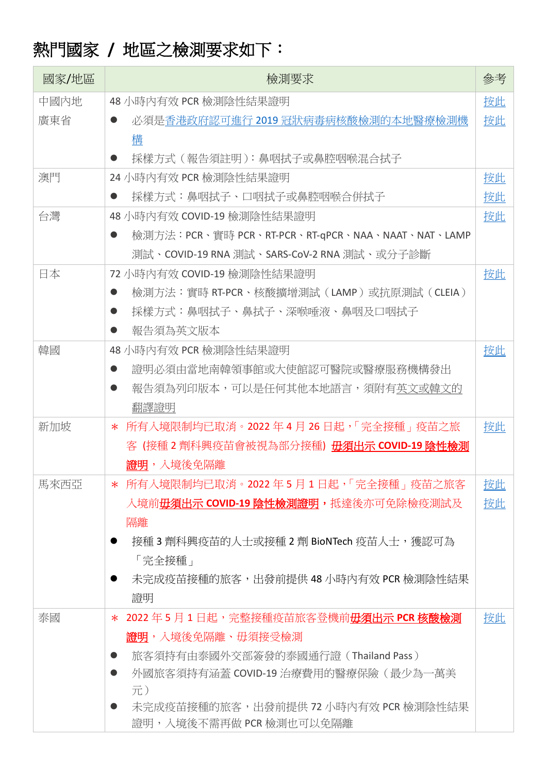## 熱門國家 **/** 地區之檢測要求如下:

| 國家/地區 | 檢測要求                                                                         | 參考 |
|-------|------------------------------------------------------------------------------|----|
| 中國內地  | 48 小時內有效 PCR 檢測陰性結果證明                                                        | 按此 |
| 廣東省   | 必須是香港政府認可進行 2019 冠狀病毒病核酸檢測的本地醫療檢測機                                           | 按此 |
|       | 構                                                                            |    |
|       | 採樣方式(報告須註明):鼻咽拭子或鼻腔咽喉混合拭子                                                    |    |
| 澳門    | 24 小時內有效 PCR 檢測陰性結果證明                                                        | 按此 |
|       | 採樣方式:鼻咽拭子、口咽拭子或鼻腔咽喉合併拭子                                                      | 按此 |
| 台灣    | 48 小時內有效 COVID-19 檢測陰性結果證明                                                   | 按此 |
|       | 檢測方法:PCR、實時 PCR、RT-PCR、RT-qPCR、NAA、NAAT、NAT、LAMP                             |    |
|       | 測試、COVID-19 RNA 測試、SARS-CoV-2 RNA 測試、或分子診斷                                   |    |
| 日本    | 72 小時內有效 COVID-19 檢測陰性結果證明                                                   | 按此 |
|       | 檢測方法:實時 RT-PCR、核酸擴增測試 (LAMP)或抗原測試 (CLEIA)                                    |    |
|       | 採樣方式:鼻咽拭子、鼻拭子、深喉唾液、鼻咽及口咽拭子                                                   |    |
|       | 報告須為英文版本                                                                     |    |
| 韓國    | 48 小時內有效 PCR 檢測陰性結果證明                                                        | 按此 |
|       | 證明必須由當地南韓領事館或大使館認可醫院或醫療服務機構發出                                                |    |
|       | 報告須為列印版本,可以是任何其他本地語言,須附有英文或韓文的                                               |    |
|       | 翻譯證明                                                                         |    |
| 新加坡   | * 所有入境限制均已取消。2022年4月26日起,「完全接種」疫苗之旅                                          | 按此 |
|       | 客 (接種 2 劑科興疫苗會被視為部分接種) 毋須出示 COVID-19 陰性檢測                                    |    |
|       | 證明,入境後免隔離                                                                    |    |
| 馬來西亞  | 所有入境限制均已取消。2022年5月1日起,「完全接種」疫苗之旅客<br>$\ast$                                  | 按此 |
|       | 入境前 <b>毋須出示 COVID-19 陰性檢測證明,</b> 抵達後亦可免除檢疫測試及                                | 按此 |
|       | 隔離                                                                           |    |
|       | 接種 3 劑科興疫苗的人士或接種 2 劑 BioNTech 疫苗人士,獲認可為                                      |    |
|       | 「完全接種」                                                                       |    |
|       | 未完成疫苗接種的旅客,出發前提供 48 小時內有效 PCR 檢測陰性結果                                         |    |
|       | 證明                                                                           |    |
| 泰國    | 2022年5月1日起,完整接種疫苗旅客登機前毋須出示 PCR 核酸檢測<br>$\ast$                                | 按此 |
|       | 證明,入境後免隔離、毋須接受檢測                                                             |    |
|       | 旅客須持有由泰國外交部簽發的泰國通行證 (Thailand Pass)<br>外國旅客須持有涵蓋 COVID-19 治療費用的醫療保險 ( 最少為一萬美 |    |
|       | 元)                                                                           |    |
|       | 未完成疫苗接種的旅客,出發前提供 72 小時內有效 PCR 檢測陰性結果                                         |    |
|       | 證明,入境後不需再做 PCR 檢測也可以免隔離                                                      |    |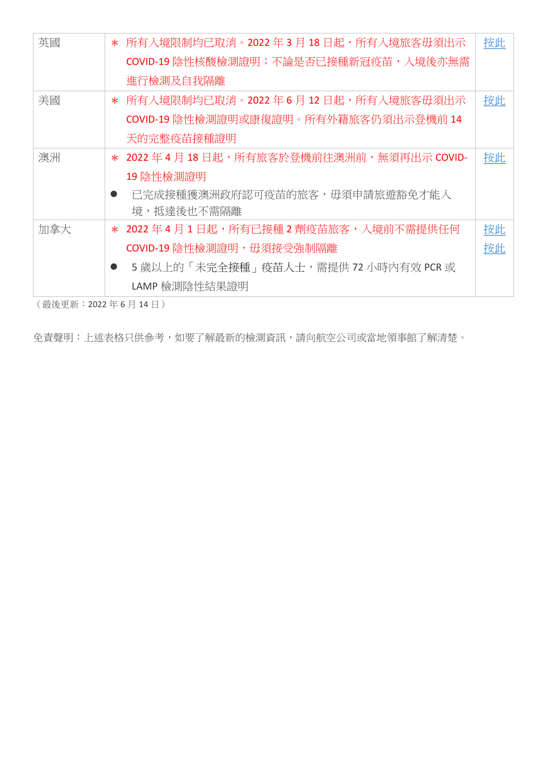| 英國  |           | * 所有入境限制均已取消。2022年3月18日起,所有入境旅客毋須出示          | 按此 |
|-----|-----------|----------------------------------------------|----|
|     |           | COVID-19 陰性核酸檢測證明;不論是否已接種新冠疫苗,入境後亦無需         |    |
|     |           | 進行檢測及自我隔離                                    |    |
| 美國  |           | * 所有入境限制均已取消。2022年6月12日起,所有入境旅客毋須出示          | 按此 |
|     |           | COVID-19 陰性檢測證明或康復證明。所有外籍旅客仍須出示登機前 14        |    |
|     |           | 天的完整疫苗接種證明                                   |    |
| 澳洲  |           | * 2022 年 4 月 18 日起,所有旅客於登機前往澳洲前,無須再出示 COVID- | 按此 |
|     |           | 19 陰性檢測證明                                    |    |
|     | $\bullet$ | 已完成接種獲澳洲政府認可疫苗的旅客,毋須申請旅遊豁免才能入                |    |
|     |           | 境,抵達後也不需隔離                                   |    |
| 加拿大 |           | * 2022 年 4 月 1 日起,所有已接種 2 劑疫苗旅客,入境前不需提供任何    | 按此 |
|     |           | COVID-19 陰性檢測證明, 毋須接受強制隔離                    | 按此 |
|     |           | 5 歲以上的「未完全接種」疫苗人士,需提供72 小時內有效 PCR 或          |    |
|     |           | LAMP 檢測陰性結果證明                                |    |

(最後更新:2022 年 6 月 14 日)

免責聲明:上述表格只供參考,如要了解最新的檢測資訊,請向航空公司或當地領事館了解清楚。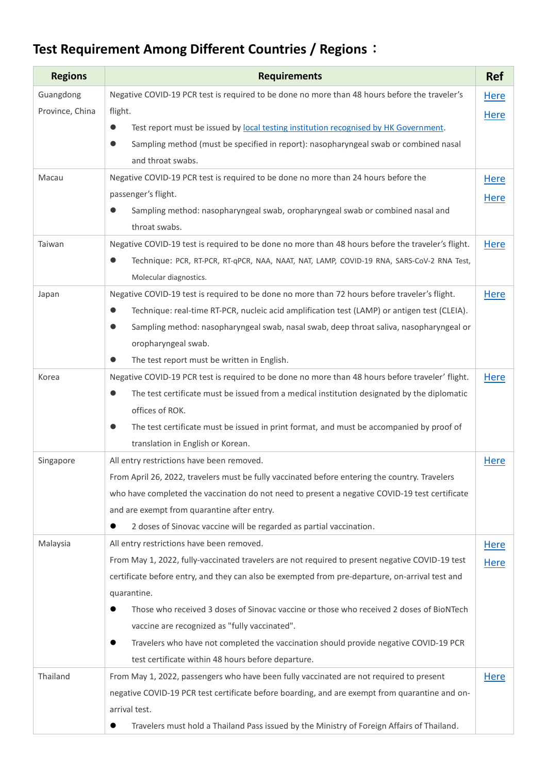## **Test Requirement Among Different Countries / Regions**:

| <b>Regions</b>  | <b>Requirements</b>                                                                                       | <b>Ref</b>  |
|-----------------|-----------------------------------------------------------------------------------------------------------|-------------|
| Guangdong       | Negative COVID-19 PCR test is required to be done no more than 48 hours before the traveler's             | Here        |
| Province, China | flight.                                                                                                   | <b>Here</b> |
|                 | Test report must be issued by local testing institution recognised by HK Government.<br>$\bullet$         |             |
|                 | Sampling method (must be specified in report): nasopharyngeal swab or combined nasal                      |             |
|                 | and throat swabs.                                                                                         |             |
| Macau           | Negative COVID-19 PCR test is required to be done no more than 24 hours before the                        | <b>Here</b> |
|                 | passenger's flight.                                                                                       | <b>Here</b> |
|                 | Sampling method: nasopharyngeal swab, oropharyngeal swab or combined nasal and<br>$\bullet$               |             |
|                 | throat swabs.                                                                                             |             |
| Taiwan          | Negative COVID-19 test is required to be done no more than 48 hours before the traveler's flight.         | <b>Here</b> |
|                 | Technique: PCR, RT-PCR, RT-qPCR, NAA, NAAT, NAT, LAMP, COVID-19 RNA, SARS-CoV-2 RNA Test,<br>$\bullet$    |             |
|                 | Molecular diagnostics.                                                                                    |             |
| Japan           | Negative COVID-19 test is required to be done no more than 72 hours before traveler's flight.             | Here        |
|                 | Technique: real-time RT-PCR, nucleic acid amplification test (LAMP) or antigen test (CLEIA).<br>$\bullet$ |             |
|                 | Sampling method: nasopharyngeal swab, nasal swab, deep throat saliva, nasopharyngeal or<br>$\bullet$      |             |
|                 | oropharyngeal swab.                                                                                       |             |
|                 | The test report must be written in English.<br>$\bullet$                                                  |             |
| Korea           | Negative COVID-19 PCR test is required to be done no more than 48 hours before traveler' flight.          | Here        |
|                 | The test certificate must be issued from a medical institution designated by the diplomatic<br>$\bullet$  |             |
|                 | offices of ROK.                                                                                           |             |
|                 | The test certificate must be issued in print format, and must be accompanied by proof of<br>$\bullet$     |             |
|                 | translation in English or Korean.                                                                         |             |
| Singapore       | All entry restrictions have been removed.                                                                 | <b>Here</b> |
|                 | From April 26, 2022, travelers must be fully vaccinated before entering the country. Travelers            |             |
|                 | who have completed the vaccination do not need to present a negative COVID-19 test certificate            |             |
|                 | and are exempt from quarantine after entry.                                                               |             |
|                 | 2 doses of Sinovac vaccine will be regarded as partial vaccination.<br>$\bullet$                          |             |
| Malaysia        | All entry restrictions have been removed.                                                                 | <b>Here</b> |
|                 | From May 1, 2022, fully-vaccinated travelers are not required to present negative COVID-19 test           | <b>Here</b> |
|                 | certificate before entry, and they can also be exempted from pre-departure, on-arrival test and           |             |
|                 | quarantine.                                                                                               |             |
|                 | Those who received 3 doses of Sinovac vaccine or those who received 2 doses of BioNTech<br>●              |             |
|                 | vaccine are recognized as "fully vaccinated".                                                             |             |
|                 | Travelers who have not completed the vaccination should provide negative COVID-19 PCR<br>$\bullet$        |             |
|                 | test certificate within 48 hours before departure.                                                        |             |
| Thailand        | From May 1, 2022, passengers who have been fully vaccinated are not required to present                   | Here        |
|                 | negative COVID-19 PCR test certificate before boarding, and are exempt from quarantine and on-            |             |
|                 | arrival test.                                                                                             |             |
|                 | Travelers must hold a Thailand Pass issued by the Ministry of Foreign Affairs of Thailand.                |             |